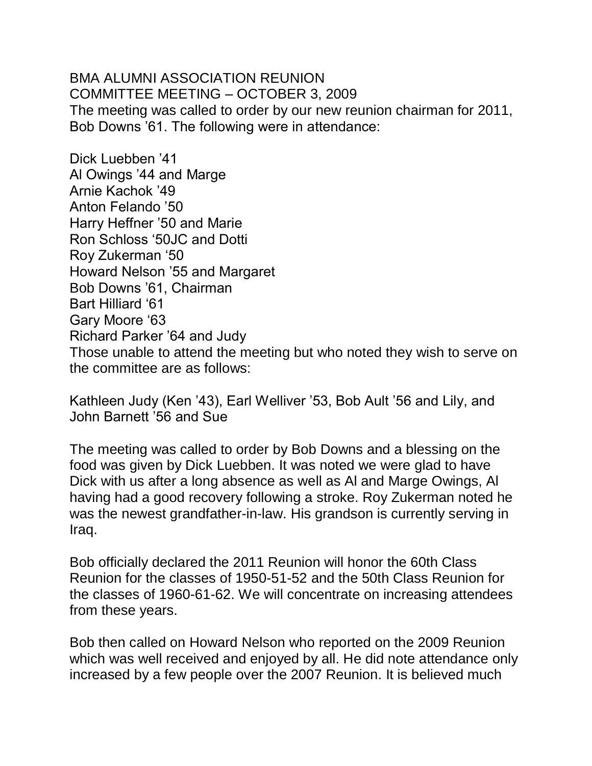BMA ALUMNI ASSOCIATION REUNION COMMITTEE MEETING – OCTOBER 3, 2009 The meeting was called to order by our new reunion chairman for 2011, Bob Downs '61. The following were in attendance:

Dick Luebben '41 Al Owings '44 and Marge Arnie Kachok '49 Anton Felando '50 Harry Heffner '50 and Marie Ron Schloss '50JC and Dotti Roy Zukerman '50 Howard Nelson '55 and Margaret Bob Downs '61, Chairman Bart Hilliard '61 Gary Moore '63 Richard Parker '64 and Judy Those unable to attend the meeting but who noted they wish to serve on the committee are as follows:

Kathleen Judy (Ken '43), Earl Welliver '53, Bob Ault '56 and Lily, and John Barnett '56 and Sue

The meeting was called to order by Bob Downs and a blessing on the food was given by Dick Luebben. It was noted we were glad to have Dick with us after a long absence as well as Al and Marge Owings, Al having had a good recovery following a stroke. Roy Zukerman noted he was the newest grandfather-in-law. His grandson is currently serving in Iraq.

Bob officially declared the 2011 Reunion will honor the 60th Class Reunion for the classes of 1950-51-52 and the 50th Class Reunion for the classes of 1960-61-62. We will concentrate on increasing attendees from these years.

Bob then called on Howard Nelson who reported on the 2009 Reunion which was well received and enjoyed by all. He did note attendance only increased by a few people over the 2007 Reunion. It is believed much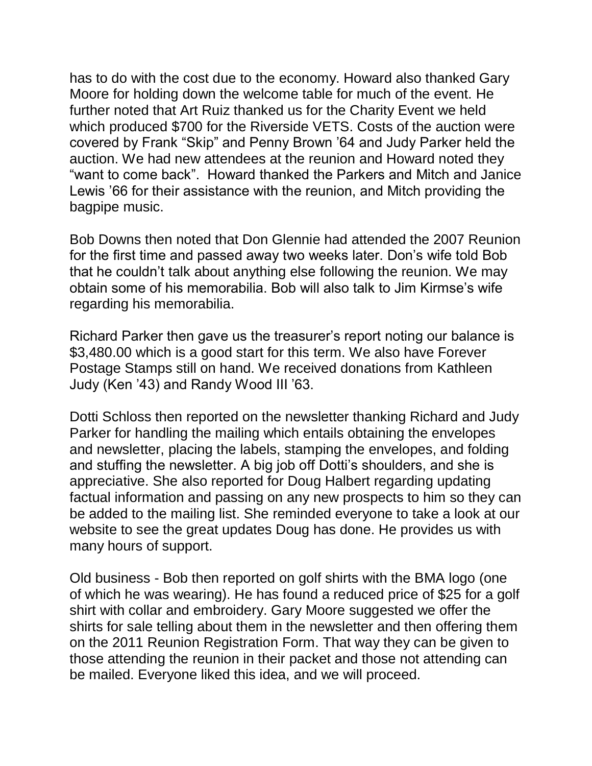has to do with the cost due to the economy. Howard also thanked Gary Moore for holding down the welcome table for much of the event. He further noted that Art Ruiz thanked us for the Charity Event we held which produced \$700 for the Riverside VETS. Costs of the auction were covered by Frank "Skip" and Penny Brown '64 and Judy Parker held the auction. We had new attendees at the reunion and Howard noted they "want to come back". Howard thanked the Parkers and Mitch and Janice Lewis '66 for their assistance with the reunion, and Mitch providing the bagpipe music.

Bob Downs then noted that Don Glennie had attended the 2007 Reunion for the first time and passed away two weeks later. Don's wife told Bob that he couldn't talk about anything else following the reunion. We may obtain some of his memorabilia. Bob will also talk to Jim Kirmse's wife regarding his memorabilia.

Richard Parker then gave us the treasurer's report noting our balance is \$3,480.00 which is a good start for this term. We also have Forever Postage Stamps still on hand. We received donations from Kathleen Judy (Ken '43) and Randy Wood III '63.

Dotti Schloss then reported on the newsletter thanking Richard and Judy Parker for handling the mailing which entails obtaining the envelopes and newsletter, placing the labels, stamping the envelopes, and folding and stuffing the newsletter. A big job off Dotti's shoulders, and she is appreciative. She also reported for Doug Halbert regarding updating factual information and passing on any new prospects to him so they can be added to the mailing list. She reminded everyone to take a look at our website to see the great updates Doug has done. He provides us with many hours of support.

Old business - Bob then reported on golf shirts with the BMA logo (one of which he was wearing). He has found a reduced price of \$25 for a golf shirt with collar and embroidery. Gary Moore suggested we offer the shirts for sale telling about them in the newsletter and then offering them on the 2011 Reunion Registration Form. That way they can be given to those attending the reunion in their packet and those not attending can be mailed. Everyone liked this idea, and we will proceed.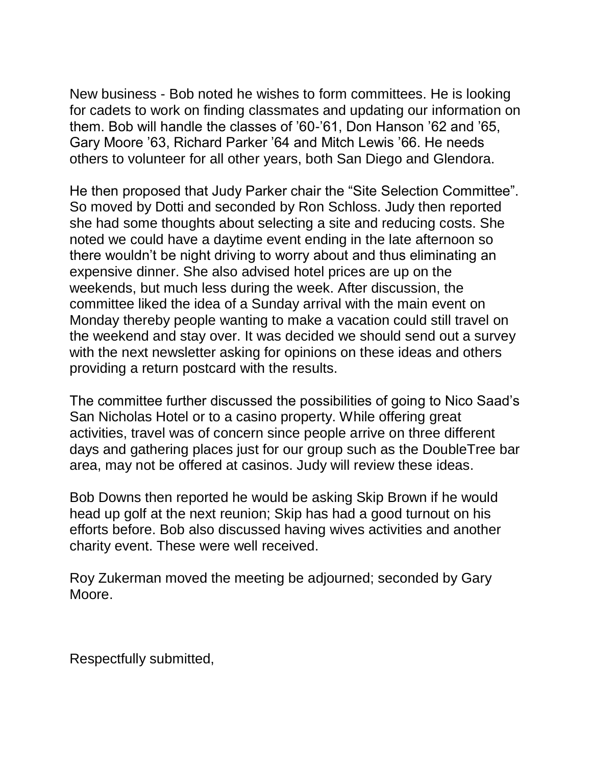New business - Bob noted he wishes to form committees. He is looking for cadets to work on finding classmates and updating our information on them. Bob will handle the classes of '60-'61, Don Hanson '62 and '65, Gary Moore '63, Richard Parker '64 and Mitch Lewis '66. He needs others to volunteer for all other years, both San Diego and Glendora.

He then proposed that Judy Parker chair the "Site Selection Committee". So moved by Dotti and seconded by Ron Schloss. Judy then reported she had some thoughts about selecting a site and reducing costs. She noted we could have a daytime event ending in the late afternoon so there wouldn't be night driving to worry about and thus eliminating an expensive dinner. She also advised hotel prices are up on the weekends, but much less during the week. After discussion, the committee liked the idea of a Sunday arrival with the main event on Monday thereby people wanting to make a vacation could still travel on the weekend and stay over. It was decided we should send out a survey with the next newsletter asking for opinions on these ideas and others providing a return postcard with the results.

The committee further discussed the possibilities of going to Nico Saad's San Nicholas Hotel or to a casino property. While offering great activities, travel was of concern since people arrive on three different days and gathering places just for our group such as the DoubleTree bar area, may not be offered at casinos. Judy will review these ideas.

Bob Downs then reported he would be asking Skip Brown if he would head up golf at the next reunion; Skip has had a good turnout on his efforts before. Bob also discussed having wives activities and another charity event. These were well received.

Roy Zukerman moved the meeting be adjourned; seconded by Gary Moore.

Respectfully submitted,